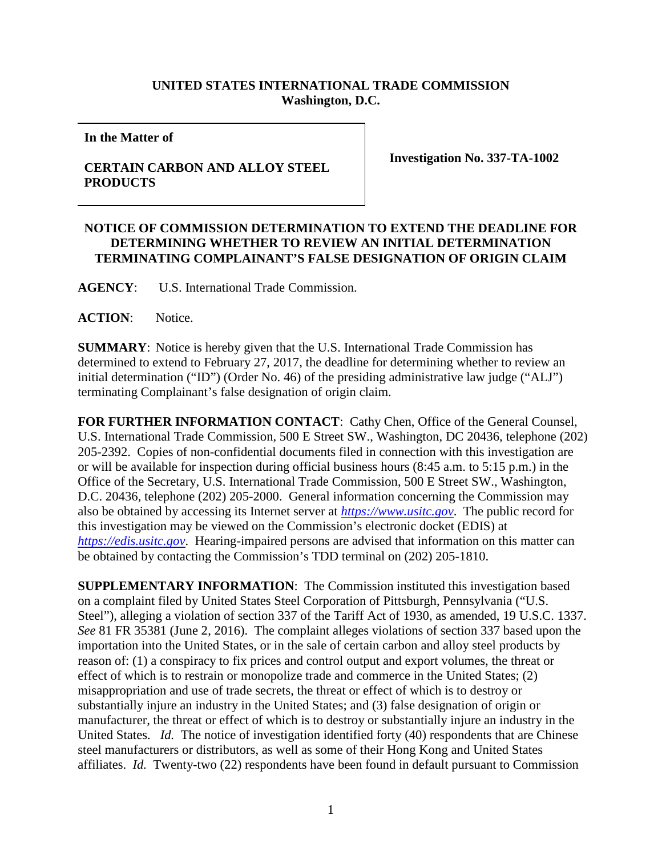## **UNITED STATES INTERNATIONAL TRADE COMMISSION Washington, D.C.**

**In the Matter of**

## **CERTAIN CARBON AND ALLOY STEEL PRODUCTS**

**Investigation No. 337-TA-1002**

## **NOTICE OF COMMISSION DETERMINATION TO EXTEND THE DEADLINE FOR DETERMINING WHETHER TO REVIEW AN INITIAL DETERMINATION TERMINATING COMPLAINANT'S FALSE DESIGNATION OF ORIGIN CLAIM**

**AGENCY**: U.S. International Trade Commission.

**ACTION**: Notice.

**SUMMARY**: Notice is hereby given that the U.S. International Trade Commission has determined to extend to February 27, 2017, the deadline for determining whether to review an initial determination ("ID") (Order No. 46) of the presiding administrative law judge ("ALJ") terminating Complainant's false designation of origin claim.

**FOR FURTHER INFORMATION CONTACT**: Cathy Chen, Office of the General Counsel, U.S. International Trade Commission, 500 E Street SW., Washington, DC 20436, telephone (202) 205-2392. Copies of non-confidential documents filed in connection with this investigation are or will be available for inspection during official business hours (8:45 a.m. to 5:15 p.m.) in the Office of the Secretary, U.S. International Trade Commission, 500 E Street SW., Washington, D.C. 20436, telephone (202) 205-2000. General information concerning the Commission may also be obtained by accessing its Internet server at *[https://www.usitc.gov](https://www.usitc.gov/)*. The public record for this investigation may be viewed on the Commission's electronic docket (EDIS) at *[https://edis.usitc.gov](http://edis.usitc.gov/)*. Hearing-impaired persons are advised that information on this matter can be obtained by contacting the Commission's TDD terminal on (202) 205-1810.

**SUPPLEMENTARY INFORMATION**: The Commission instituted this investigation based on a complaint filed by United States Steel Corporation of Pittsburgh, Pennsylvania ("U.S. Steel"), alleging a violation of section 337 of the Tariff Act of 1930, as amended, 19 U.S.C. 1337. *See* 81 FR 35381 (June 2, 2016). The complaint alleges violations of section 337 based upon the importation into the United States, or in the sale of certain carbon and alloy steel products by reason of: (1) a conspiracy to fix prices and control output and export volumes, the threat or effect of which is to restrain or monopolize trade and commerce in the United States; (2) misappropriation and use of trade secrets, the threat or effect of which is to destroy or substantially injure an industry in the United States; and (3) false designation of origin or manufacturer, the threat or effect of which is to destroy or substantially injure an industry in the United States. *Id.* The notice of investigation identified forty (40) respondents that are Chinese steel manufacturers or distributors, as well as some of their Hong Kong and United States affiliates. *Id.* Twenty-two (22) respondents have been found in default pursuant to Commission